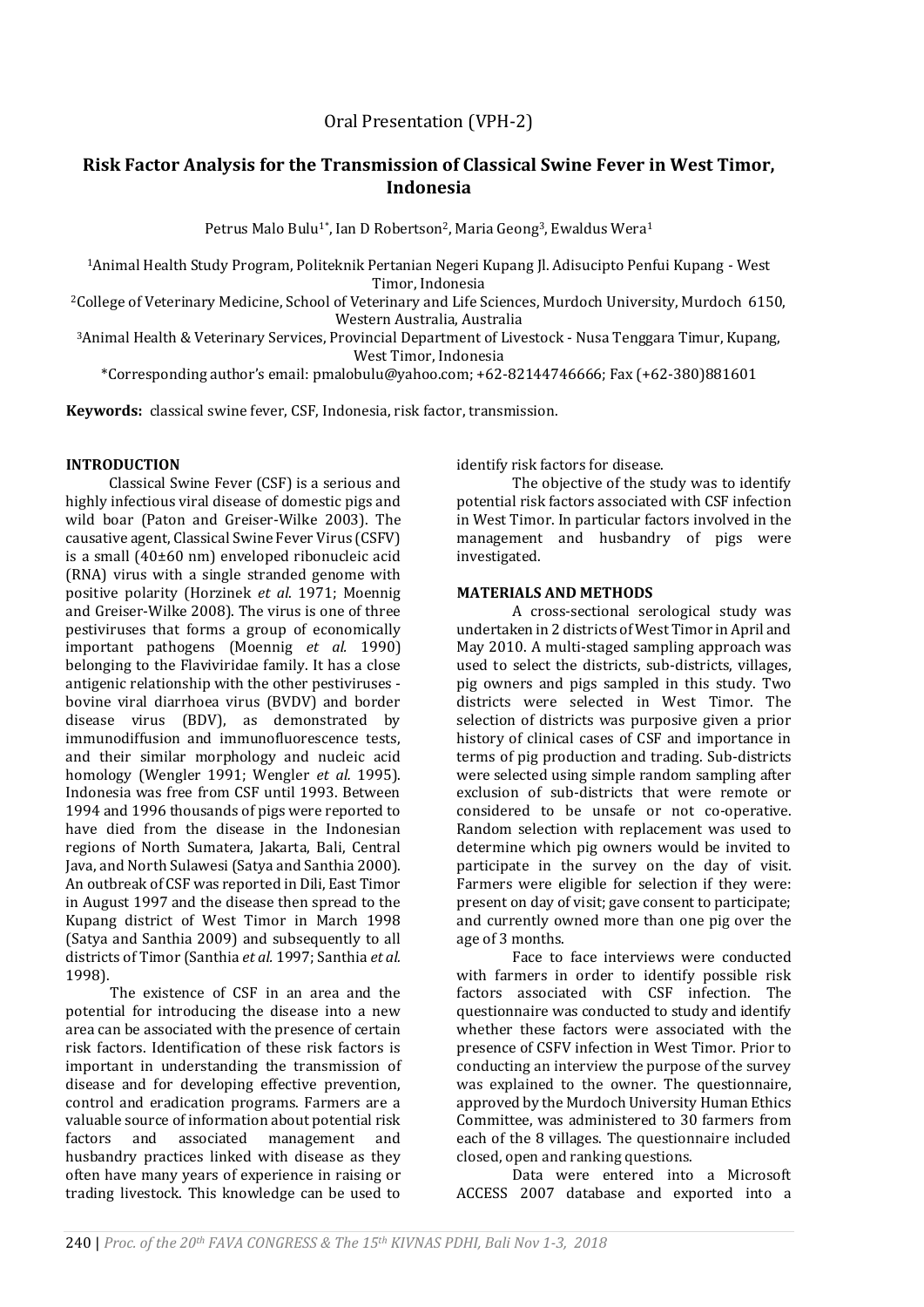# Oral Presentation (VPH-2)

# **Risk Factor Analysis for the Transmission of Classical Swine Fever in West Timor, Indonesia**

Petrus Malo Bulu<sup>1\*</sup>, Ian D Robertson<sup>2</sup>, Maria Geong<sup>3</sup>, Ewaldus Wera<sup>1</sup>

<sup>1</sup>Animal Health Study Program, Politeknik Pertanian Negeri Kupang Jl. Adisucipto Penfui Kupang - West Timor, Indonesia

<sup>2</sup>College of Veterinary Medicine, School of Veterinary and Life Sciences, Murdoch University, Murdoch 6150, Western Australia, Australia

<sup>3</sup>Animal Health & Veterinary Services, Provincial Department of Livestock - Nusa Tenggara Timur, Kupang, West Timor, Indonesia

\*Corresponding author's email[: pmalobulu@yahoo.com;](mailto:pmalobulu@yahoo.com) +62-82144746666; Fax (+62-380)881601

**Keywords:** classical swine fever, CSF, Indonesia, risk factor, transmission.

## **INTRODUCTION**

Classical Swine Fever (CSF) is a serious and highly infectious viral disease of domestic pigs and wild boar (Paton and Greiser-Wilke 2003). The causative agent, Classical Swine Fever Virus (CSFV) is a small (40±60 nm) enveloped ribonucleic acid (RNA) virus with a single stranded genome with positive polarity (Horzinek *et al*. 1971; Moennig and Greiser-Wilke 2008). The virus is one of three pestiviruses that forms a group of economically important pathogens [\(Moennig](#page-2-0) *et al.* 1990) belonging to the Flaviviridae family. It has a close antigenic relationship with the other pestiviruses bovine viral diarrhoea virus (BVDV) and border disease virus (BDV), as demonstrated by immunodiffusion and immunofluorescence tests, and their similar morphology and nucleic acid homology (Wengler 1991; Wengler *et al.* 1995). Indonesia was free from CSF until 1993. Between 1994 and 1996 thousands of pigs were reported to have died from the disease in the Indonesian regions of North Sumatera, Jakarta, Bali, Central Java, and North Sulawesi (Satya and Santhia 2000). An outbreak of CSF was reported in Dili, East Timor in August 1997 and the disease then spread to the Kupang district of West Timor in March 1998 (Satya and Santhia 2009) and subsequently to all districts of Timor (Santhia *et al.* 1997; Santhia *et al.* 1998).

The existence of CSF in an area and the potential for introducing the disease into a new area can be associated with the presence of certain risk factors. Identification of these risk factors is important in understanding the transmission of disease and for developing effective prevention, control and eradication programs. Farmers are a valuable source of information about potential risk factors and associated management and husbandry practices linked with disease as they often have many years of experience in raising or trading livestock. This knowledge can be used to identify risk factors for disease.

The objective of the study was to identify potential risk factors associated with CSF infection in West Timor. In particular factors involved in the management and husbandry of pigs were investigated.

#### **MATERIALS AND METHODS**

A cross-sectional serological study was undertaken in 2 districts of West Timor in April and May 2010. A multi-staged sampling approach was used to select the districts, sub-districts, villages, pig owners and pigs sampled in this study. Two districts were selected in West Timor. The selection of districts was purposive given a prior history of clinical cases of CSF and importance in terms of pig production and trading. Sub-districts were selected using simple random sampling after exclusion of sub-districts that were remote or considered to be unsafe or not co-operative. Random selection with replacement was used to determine which pig owners would be invited to participate in the survey on the day of visit. Farmers were eligible for selection if they were: present on day of visit; gave consent to participate; and currently owned more than one pig over the age of 3 months.

Face to face interviews were conducted with farmers in order to identify possible risk factors associated with CSF infection. The questionnaire was conducted to study and identify whether these factors were associated with the presence of CSFV infection in West Timor. Prior to conducting an interview the purpose of the survey was explained to the owner. The questionnaire, approved by the Murdoch University Human Ethics Committee, was administered to 30 farmers from each of the 8 villages. The questionnaire included closed, open and ranking questions.

Data were entered into a Microsoft ACCESS 2007 database and exported into a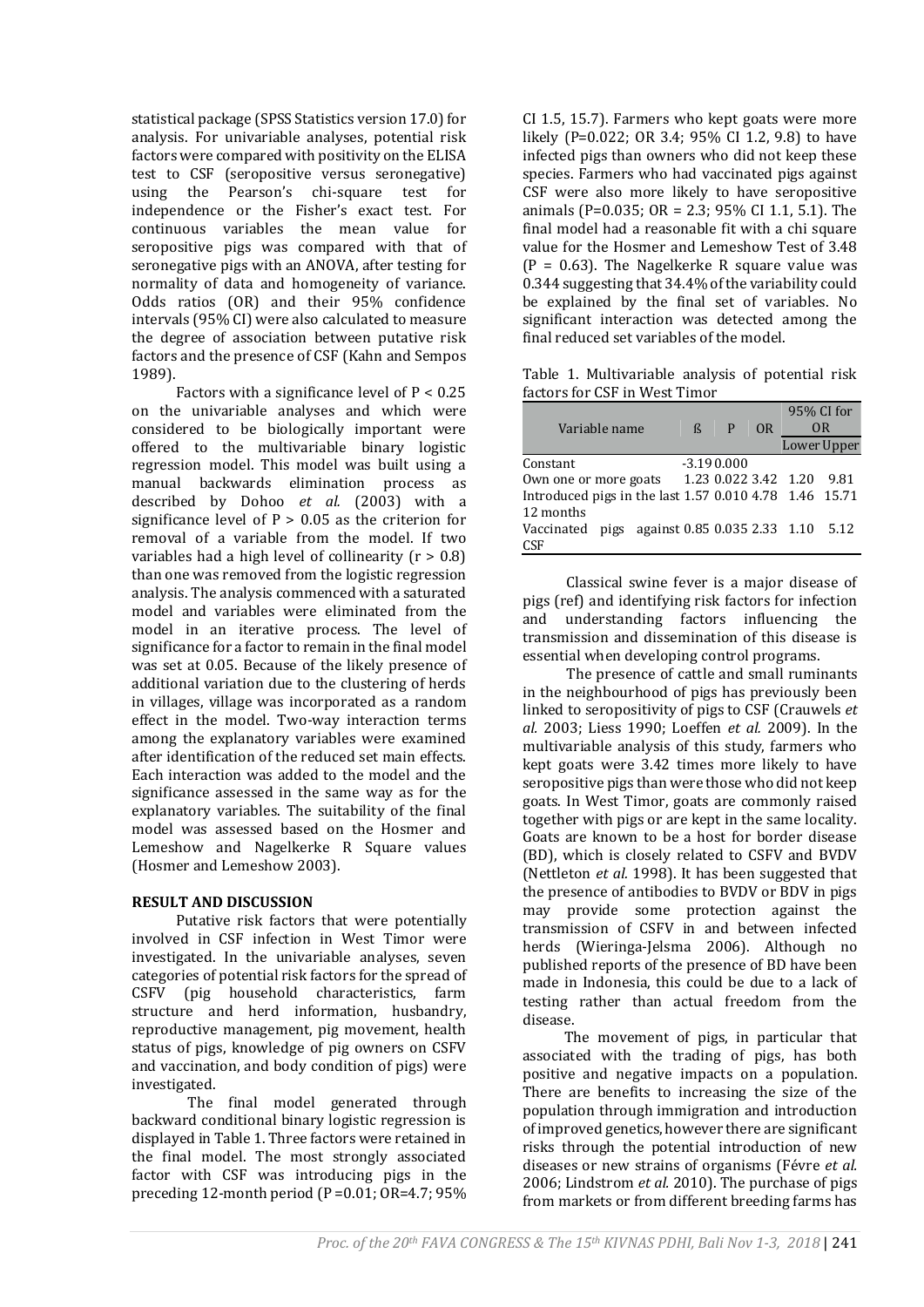statistical package (SPSS Statistics version 17.0) for analysis. For univariable analyses, potential risk factors were compared with positivity on the ELISA test to CSF (seropositive versus seronegative) using the Pearson's chi-square test for independence or the Fisher's exact test. For continuous variables the mean value for seropositive pigs was compared with that of seronegative pigs with an ANOVA, after testing for normality of data and homogeneity of variance. Odds ratios (OR) and their 95% confidence intervals (95% CI) were also calculated to measure the degree of association between putative risk factors and the presence of CSF (Kahn and Sempos 1989).

Factors with a significance level of  $P < 0.25$ on the univariable analyses and which were considered to be biologically important were offered to the multivariable binary logistic regression model. This model was built using a manual backwards elimination process as described by [Dohoo](#page-2-1) *et al.* (2003) with a significance level of  $P > 0.05$  as the criterion for removal of a variable from the model. If two variables had a high level of collinearity  $(r > 0.8)$ than one was removed from the logistic regression analysis. The analysis commenced with a saturated model and variables were eliminated from the model in an iterative process. The level of significance for a factor to remain in the final model was set at 0.05. Because of the likely presence of additional variation due to the clustering of herds in villages, village was incorporated as a random effect in the model. Two-way interaction terms among the explanatory variables were examined after identification of the reduced set main effects. Each interaction was added to the model and the significance assessed in the same way as for the explanatory variables. The suitability of the final model was assessed based on the Hosmer and Lemeshow and Nagelkerke R Square values (Hosmer and Lemeshow 2003).

## **RESULT AND DISCUSSION**

Putative risk factors that were potentially involved in CSF infection in West Timor were investigated. In the univariable analyses, seven categories of potential risk factors for the spread of CSFV (pig household characteristics, farm structure and herd information, husbandry, reproductive management, pig movement, health status of pigs, knowledge of pig owners on CSFV and vaccination, and body condition of pigs) were investigated.

The final model generated through backward conditional binary logistic regression is displayed in Table 1. Three factors were retained in the final model. The most strongly associated factor with CSF was introducing pigs in the preceding 12-month period  $(P=0.01; OR=4.7; 95\%)$ 

CI 1.5, 15.7). Farmers who kept goats were more likely (P=0.022; OR 3.4; 95% CI 1.2, 9.8) to have infected pigs than owners who did not keep these species. Farmers who had vaccinated pigs against CSF were also more likely to have seropositive animals (P=0.035; OR = 2.3; 95% CI 1.1, 5.1). The final model had a reasonable fit with a chi square value for the Hosmer and Lemeshow Test of 3.48  $(P = 0.63)$ . The Nagelkerke R square value was 0.344 suggesting that 34.4% of the variability could be explained by the final set of variables. No significant interaction was detected among the final reduced set variables of the model.

Table 1. Multivariable analysis of potential risk factors for CSF in West Timor

| Variable name                                          | R | P            | 0R | 95% CI for<br>0R     |             |
|--------------------------------------------------------|---|--------------|----|----------------------|-------------|
|                                                        |   |              |    |                      | Lower Upper |
| Constant                                               |   | $-3.190.000$ |    |                      |             |
| Own one or more goats                                  |   |              |    | 1.23 0.022 3.42 1.20 | 9.81        |
| Introduced pigs in the last 1.57 0.010 4.78 1.46 15.71 |   |              |    |                      |             |
| 12 months                                              |   |              |    |                      |             |
| pigs against 0.85 0.035 2.33 1.10<br>Vaccinated        |   |              |    |                      | 5.12        |
| CSF                                                    |   |              |    |                      |             |

Classical swine fever is a major disease of pigs (ref) and identifying risk factors for infection and understanding factors influencing the transmission and dissemination of this disease is essential when developing control programs.

The presence of cattle and small ruminants in the neighbourhood of pigs has previously been linked to seropositivity of pigs to CSF (Crauwels *et al.* 2003; [Liess 1990;](#page-2-2) Loeffen *et al.* 2009). In the multivariable analysis of this study, farmers who kept goats were 3.42 times more likely to have seropositive pigs than were those who did not keep goats. In West Timor, goats are commonly raised together with pigs or are kept in the same locality. Goats are known to be a host for border disease (BD), which is closely related to CSFV and BVDV (Nettleton *et al.* 1998). It has been suggested that the presence of antibodies to BVDV or BDV in pigs may provide some protection against the transmission of CSFV in and between infected herds (Wieringa-Jelsma 2006). Although no published reports of the presence of BD have been made in Indonesia, this could be due to a lack of testing rather than actual freedom from the disease.

The movement of pigs, in particular that associated with the trading of pigs, has both positive and negative impacts on a population. There are benefits to increasing the size of the population through immigration and introduction of improved genetics, however there are significant risks through the potential introduction of new diseases or new strains of organisms (Févre *et al.* 2006; Lindstrom *et al.* 2010). The purchase of pigs from markets or from different breeding farms has